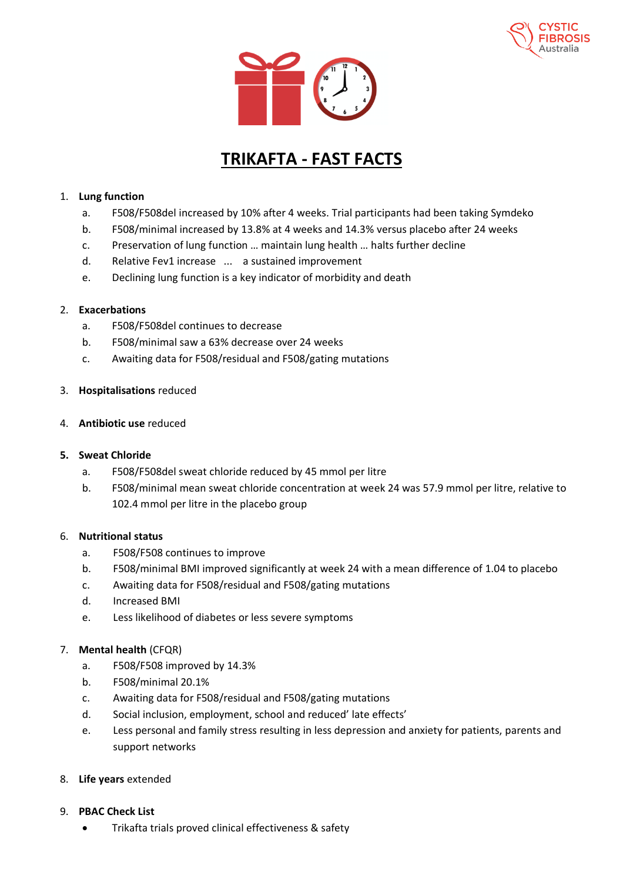



# **TRIKAFTA - FAST FACTS**

## 1. **Lung function**

- a. F508/F508del increased by 10% after 4 weeks. Trial participants had been taking Symdeko
- b. F508/minimal increased by 13.8% at 4 weeks and 14.3% versus placebo after 24 weeks
- c. Preservation of lung function … maintain lung health … halts further decline
- d. Relative Fev1 increase ... a sustained improvement
- e. Declining lung function is a key indicator of morbidity and death

### 2. **Exacerbations**

- a. F508/F508del continues to decrease
- b. F508/minimal saw a 63% decrease over 24 weeks
- c. Awaiting data for F508/residual and F508/gating mutations

### 3. **Hospitalisations** reduced

### 4. **Antibiotic use** reduced

### **5. Sweat Chloride**

- a. F508/F508del sweat chloride reduced by 45 mmol per litre
- b. F508/minimal mean sweat chloride concentration at week 24 was 57.9 mmol per litre, relative to 102.4 mmol per litre in the placebo group

### 6. **Nutritional status**

- a. F508/F508 continues to improve
- b. F508/minimal BMI improved significantly at week 24 with a mean difference of 1.04 to placebo
- c. Awaiting data for F508/residual and F508/gating mutations
- d. Increased BMI
- e. Less likelihood of diabetes or less severe symptoms

### 7. **Mental health** (CFQR)

- a. F508/F508 improved by 14.3%
- b. F508/minimal 20.1%
- c. Awaiting data for F508/residual and F508/gating mutations
- d. Social inclusion, employment, school and reduced' late effects'
- e. Less personal and family stress resulting in less depression and anxiety for patients, parents and support networks

### 8. **Life years** extended

- 9. **PBAC Check List**
	- Trikafta trials proved clinical effectiveness & safety